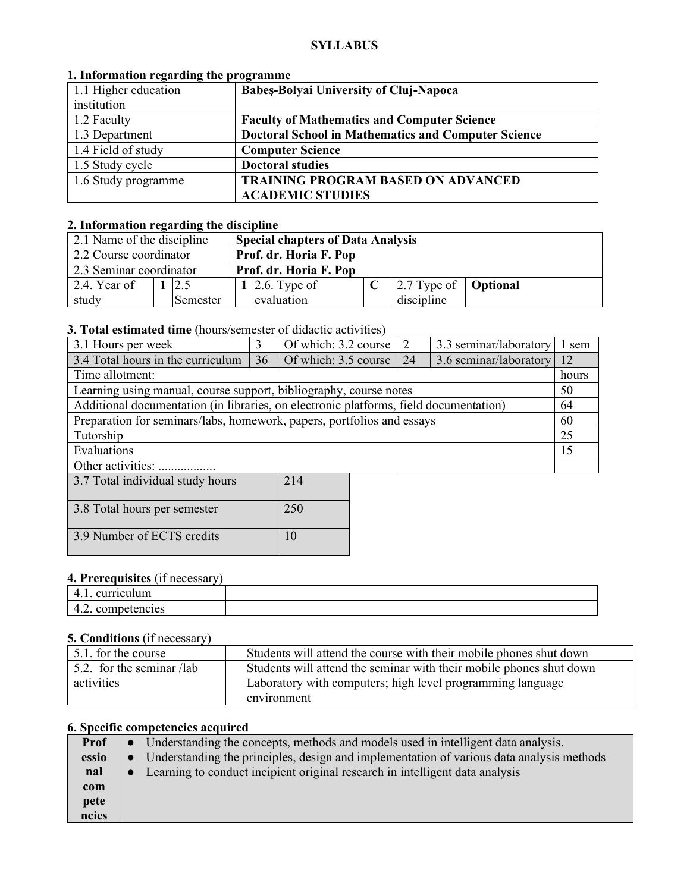#### **SYLLABUS**

| 1. Information regarding the programme |                                                            |  |  |  |  |
|----------------------------------------|------------------------------------------------------------|--|--|--|--|
| 1.1 Higher education                   | <b>Babes-Bolyai University of Cluj-Napoca</b>              |  |  |  |  |
| institution                            |                                                            |  |  |  |  |
| 1.2 Faculty                            | <b>Faculty of Mathematics and Computer Science</b>         |  |  |  |  |
| 1.3 Department                         | <b>Doctoral School in Mathematics and Computer Science</b> |  |  |  |  |
| 1.4 Field of study                     | <b>Computer Science</b>                                    |  |  |  |  |
| 1.5 Study cycle                        | <b>Doctoral studies</b>                                    |  |  |  |  |
| 1.6 Study programme                    | <b>TRAINING PROGRAM BASED ON ADVANCED</b>                  |  |  |  |  |
|                                        | <b>ACADEMIC STUDIES</b>                                    |  |  |  |  |

# **1. Information regarding the programme**

# **2. Information regarding the discipline**

| 2.1 Name of the discipline<br><b>Special chapters of Data Analysis</b> |  |          |  |                        |  |                                                    |  |
|------------------------------------------------------------------------|--|----------|--|------------------------|--|----------------------------------------------------|--|
| 2.2 Course coordinator<br>Prof. dr. Horia F. Pop                       |  |          |  |                        |  |                                                    |  |
| 2.3 Seminar coordinator                                                |  |          |  | Prof. dr. Horia F. Pop |  |                                                    |  |
| 2.4. Year of                                                           |  | 12.5     |  | 1 2.6. Type of         |  | $\sqrt{2.7}$ Type of $\sqrt{\phantom{0}}$ Optional |  |
| study                                                                  |  | Semester |  | evaluation             |  | discipline                                         |  |

### **3. Total estimated time** (hours/semester of didactic activities)

| 3.1 Hours per week                                                                    |    | Of which: $3.2 \text{ course}$   2 |  |    | 3.3 seminar/laboratory | l sem |
|---------------------------------------------------------------------------------------|----|------------------------------------|--|----|------------------------|-------|
| 3.4 Total hours in the curriculum                                                     | 36 | Of which: 3.5 course               |  | 24 | 3.6 seminar/laboratory | 12    |
| Time allotment:                                                                       |    |                                    |  |    |                        | hours |
| 50<br>Learning using manual, course support, bibliography, course notes               |    |                                    |  |    |                        |       |
| Additional documentation (in libraries, on electronic platforms, field documentation) |    |                                    |  |    |                        | 64    |
| Preparation for seminars/labs, homework, papers, portfolios and essays                |    |                                    |  |    | 60                     |       |
| Tutorship                                                                             |    |                                    |  |    |                        | 25    |
| Evaluations                                                                           |    |                                    |  |    | 15                     |       |
| Other activities:                                                                     |    |                                    |  |    |                        |       |
| $2.77$ $1.1$ $1.1$ $1.1$ $1.1$<br>$\bigcap$ 1 $\bigcap$                               |    |                                    |  |    |                        |       |

| 3.7 Total individual study hours | 214 |
|----------------------------------|-----|
| 3.8 Total hours per semester     | 250 |
| 3.9 Number of ECTS credits       | 10  |

# **4. Prerequisites** (if necessary)

| ્ષાપામ<br>.                   |  |
|-------------------------------|--|
| TCIES<br>$\mathbf{v}$<br>т.∠. |  |

#### **5. Conditions** (if necessary)

| $\pm$ 5.1. for the course | Students will attend the course with their mobile phones shut down  |
|---------------------------|---------------------------------------------------------------------|
| 5.2. for the seminar /lab | Students will attend the seminar with their mobile phones shut down |
| activities                | Laboratory with computers; high level programming language          |
|                           | environment                                                         |

# **6. Specific competencies acquired**

| <b>Prof</b> | • Understanding the concepts, methods and models used in intelligent data analysis.        |
|-------------|--------------------------------------------------------------------------------------------|
| essio       | • Understanding the principles, design and implementation of various data analysis methods |
| nal         | • Learning to conduct incipient original research in intelligent data analysis             |
| com         |                                                                                            |
| pete        |                                                                                            |
| ncies       |                                                                                            |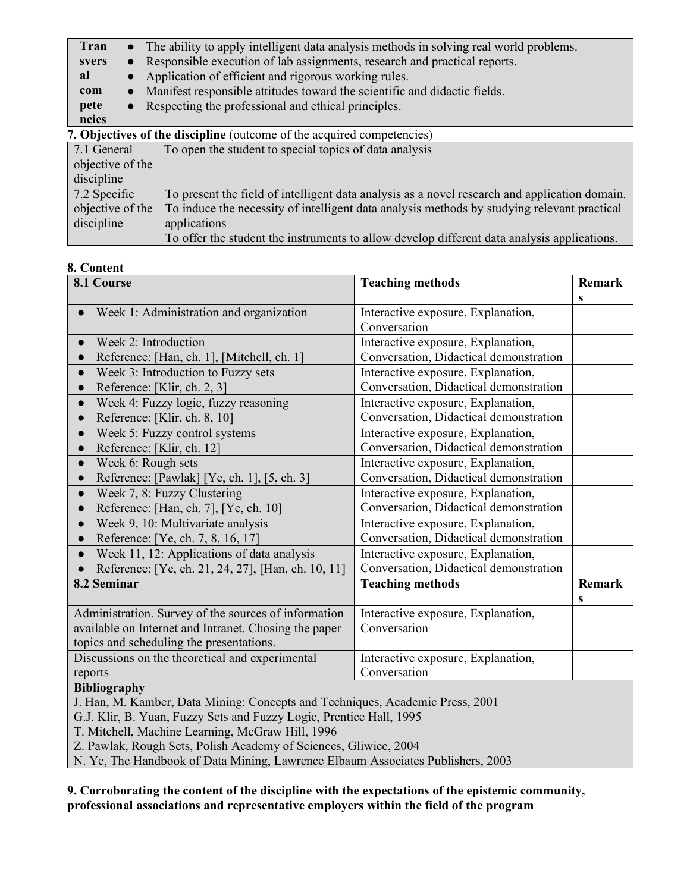| Tran                                                                          |                                                                           | The ability to apply intelligent data analysis methods in solving real world problems. |  |  |  |
|-------------------------------------------------------------------------------|---------------------------------------------------------------------------|----------------------------------------------------------------------------------------|--|--|--|
| svers                                                                         | $\bullet$                                                                 | Responsible execution of lab assignments, research and practical reports.              |  |  |  |
| al                                                                            |                                                                           | Application of efficient and rigorous working rules.                                   |  |  |  |
| com                                                                           | Manifest responsible attitudes toward the scientific and didactic fields. |                                                                                        |  |  |  |
| pete                                                                          | Respecting the professional and ethical principles.<br>$\bullet$          |                                                                                        |  |  |  |
| ncies                                                                         |                                                                           |                                                                                        |  |  |  |
| <b>7. Objectives of the discipline</b> (outcome of the acquired competencies) |                                                                           |                                                                                        |  |  |  |
| 7.1 General                                                                   |                                                                           | To open the student to special topics of data analysis                                 |  |  |  |
| objective of the                                                              |                                                                           |                                                                                        |  |  |  |

| discipline       |                                                                                               |
|------------------|-----------------------------------------------------------------------------------------------|
| 7.2 Specific     | To present the field of intelligent data analysis as a novel research and application domain. |
| objective of the | To induce the necessity of intelligent data analysis methods by studying relevant practical   |
| discipline       | applications                                                                                  |
|                  | To offer the student the instruments to allow develop different data analysis applications.   |

### **8. Content**

| 8.1 Course                                                                    | <b>Teaching methods</b>                | <b>Remark</b> |  |  |
|-------------------------------------------------------------------------------|----------------------------------------|---------------|--|--|
|                                                                               |                                        | S             |  |  |
| Week 1: Administration and organization                                       | Interactive exposure, Explanation,     |               |  |  |
|                                                                               | Conversation                           |               |  |  |
| Week 2: Introduction                                                          | Interactive exposure, Explanation,     |               |  |  |
| Reference: [Han, ch. 1], [Mitchell, ch. 1]                                    | Conversation, Didactical demonstration |               |  |  |
| Week 3: Introduction to Fuzzy sets                                            | Interactive exposure, Explanation,     |               |  |  |
| Reference: [Klir, ch. 2, 3]                                                   | Conversation, Didactical demonstration |               |  |  |
| Week 4: Fuzzy logic, fuzzy reasoning                                          | Interactive exposure, Explanation,     |               |  |  |
| Reference: [Klir, ch. 8, 10]                                                  | Conversation, Didactical demonstration |               |  |  |
| Week 5: Fuzzy control systems                                                 | Interactive exposure, Explanation,     |               |  |  |
| Reference: [Klir, ch. 12]                                                     | Conversation, Didactical demonstration |               |  |  |
| Week 6: Rough sets                                                            | Interactive exposure, Explanation,     |               |  |  |
| Reference: [Pawlak] [Ye, ch. 1], [5, ch. 3]                                   | Conversation, Didactical demonstration |               |  |  |
| Week 7, 8: Fuzzy Clustering                                                   | Interactive exposure, Explanation,     |               |  |  |
| Reference: [Han, ch. 7], [Ye, ch. 10]                                         | Conversation, Didactical demonstration |               |  |  |
| Week 9, 10: Multivariate analysis                                             | Interactive exposure, Explanation,     |               |  |  |
| Reference: [Ye, ch. 7, 8, 16, 17]                                             | Conversation, Didactical demonstration |               |  |  |
| Week 11, 12: Applications of data analysis                                    | Interactive exposure, Explanation,     |               |  |  |
| Reference: [Ye, ch. 21, 24, 27], [Han, ch. 10, 11]                            | Conversation, Didactical demonstration |               |  |  |
| 8.2 Seminar                                                                   | <b>Teaching methods</b>                | <b>Remark</b> |  |  |
|                                                                               |                                        | S             |  |  |
| Administration. Survey of the sources of information                          | Interactive exposure, Explanation,     |               |  |  |
| available on Internet and Intranet. Chosing the paper                         | Conversation                           |               |  |  |
| topics and scheduling the presentations.                                      |                                        |               |  |  |
| Discussions on the theoretical and experimental                               | Interactive exposure, Explanation,     |               |  |  |
| reports                                                                       | Conversation                           |               |  |  |
| <b>Bibliography</b>                                                           |                                        |               |  |  |
| J. Han, M. Kamber, Data Mining: Concepts and Techniques, Academic Press, 2001 |                                        |               |  |  |

G.J. Klir, B. Yuan, Fuzzy Sets and Fuzzy Logic, Prentice Hall, 1995

T. Mitchell, Machine Learning, McGraw Hill, 1996

Z. Pawlak, Rough Sets, Polish Academy of Sciences, Gliwice, 2004

N. Ye, The Handbook of Data Mining, Lawrence Elbaum Associates Publishers, 2003

**9. Corroborating the content of the discipline with the expectations of the epistemic community, professional associations and representative employers within the field of the program**